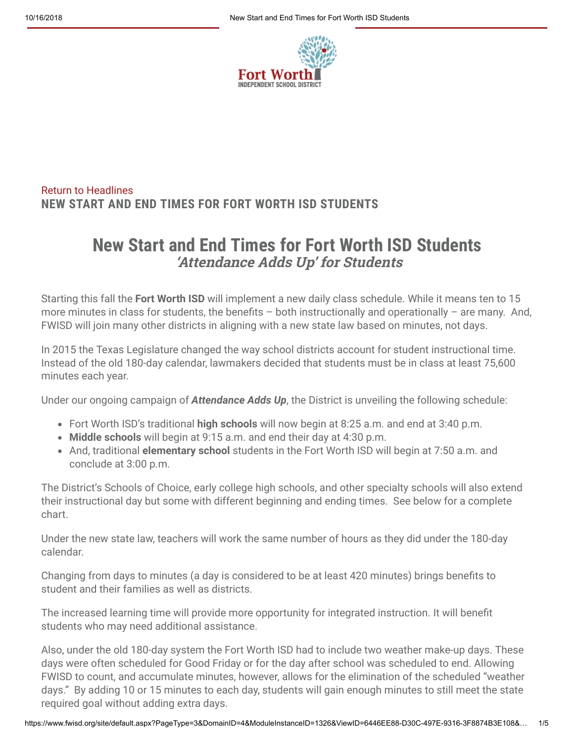

#### [Return to Headlines](https://www.fwisd.org/site/default.aspx?PageType=14&DomainID=4&ModuleInstanceID=1326&PageID=1&ViewID=C83D46AC-74FE-4857-8C9A-5922A80225E2&IsMoreExpandedView=True&GroupByField=DisplayDate&GroupYear=2018&GroupMonth=10&Tag=) **NEW START AND END TIMES FOR FORT WORTH ISD STUDENTS**

### **New Start and End Times for Fort Worth ISD Students 'Attendance Adds Up' for Students**

Starting this fall the **Fort Worth ISD** will implement a new daily class schedule. While it means ten to 15 more minutes in class for students, the benefits  $-$  both instructionally and operationally  $-$  are many. And, FWISD will join many other districts in aligning with a new state law based on minutes, not days.

In 2015 the Texas Legislature changed the way school districts account for student instructional time. Instead of the old 180-day calendar, lawmakers decided that students must be in class at least 75,600 minutes each year.

Under our ongoing campaign of *Attendance Adds Up*, the District is unveiling the following schedule:

- Fort Worth ISD's traditional **high schools** will now begin at 8:25 a.m. and end at 3:40 p.m.
- **Middle schools** will begin at 9:15 a.m. and end their day at 4:30 p.m.
- And, traditional **elementary school** students in the Fort Worth ISD will begin at 7:50 a.m. and conclude at 3:00 p.m.

The District's Schools of Choice, early college high schools, and other specialty schools will also extend their instructional day but some with different beginning and ending times. See below for a complete chart.

Under the new state law, teachers will work the same number of hours as they did under the 180-day calendar.

Changing from days to minutes (a day is considered to be at least 420 minutes) brings benefits to student and their families as well as districts.

The increased learning time will provide more opportunity for integrated instruction. It will benefit students who may need additional assistance.

Also, under the old 180-day system the Fort Worth ISD had to include two weather make-up days. These days were often scheduled for Good Friday or for the day after school was scheduled to end. Allowing FWISD to count, and accumulate minutes, however, allows for the elimination of the scheduled "weather days." By adding 10 or 15 minutes to each day, students will gain enough minutes to still meet the state required goal without adding extra days.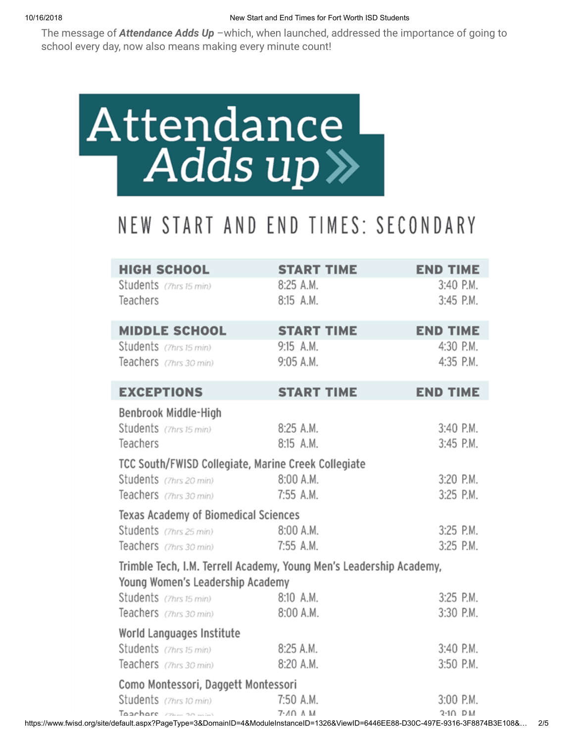The message of *Attendance Adds Up* –which, when launched, addressed the importance of going to school every day, now also means making every minute count!



## NEW START AND END TIMES: SECONDARY

| <b>HIGH SCHOOL</b>                                                  | <b>START TIME</b>              | <b>END TIME</b>              |  |  |  |
|---------------------------------------------------------------------|--------------------------------|------------------------------|--|--|--|
| Students (7hrs 15 min)                                              | 8:25 A.M.                      | 3:40 P.M.                    |  |  |  |
| Teachers                                                            | 8:15 A.M.                      | 3:45 P.M.                    |  |  |  |
|                                                                     |                                |                              |  |  |  |
| <b>MIDDLE SCHOOL</b><br>Students (7hrs 15 min)                      | <b>START TIME</b><br>9:15 A.M. | <b>END TIME</b><br>4:30 P.M. |  |  |  |
| Teachers (7hrs 30 min)                                              | 9:05 A.M.                      | 4:35 P.M.                    |  |  |  |
|                                                                     |                                |                              |  |  |  |
| <b>EXCEPTIONS</b>                                                   | <b>START TIME</b>              | <b>END TIME</b>              |  |  |  |
| Benbrook Middle-High                                                |                                |                              |  |  |  |
| Students (7hrs 15 min)                                              | 8:25 A.M.                      | 3:40 P.M.                    |  |  |  |
| Teachers                                                            | 8:15 A.M.                      | 3:45 P.M.                    |  |  |  |
| TCC South/FWISD Collegiate, Marine Creek Collegiate                 |                                |                              |  |  |  |
| Students (7hrs 20 min)                                              | 8:00 A.M.                      | 3:20 P.M.                    |  |  |  |
| Teachers (7hrs 30 min)                                              | 7:55 A.M.                      | 3:25 P.M.                    |  |  |  |
| Texas Academy of Biomedical Sciences                                |                                |                              |  |  |  |
| Students (7hrs 25 min)                                              | 8:00 A.M.                      | 3:25 P.M.                    |  |  |  |
| Teachers (7hrs 30 min)                                              | 7:55 A.M.                      | 3:25 P.M.                    |  |  |  |
| Trimble Tech, I.M. Terrell Academy, Young Men's Leadership Academy, |                                |                              |  |  |  |
| Young Women's Leadership Academy<br>Students (7hrs 15 min)          | 8:10 A.M.                      | 3:25 P.M.                    |  |  |  |
| Teachers (7hrs 30 min)                                              | 8:00 A.M.                      | 3:30 P.M.                    |  |  |  |
|                                                                     |                                |                              |  |  |  |
| World Languages Institute<br>Students (7hrs 15 min)                 | 8:25 A.M.                      | 3:40 P.M.                    |  |  |  |
| Teachers (7hrs 30 min)                                              | 8:20 A.M.                      | 3:50 P.M.                    |  |  |  |
|                                                                     |                                |                              |  |  |  |
| Como Montessori, Daggett Montessori                                 |                                |                              |  |  |  |
| Students (7hrs 10 min)<br>Tagehare / 7hm 20 min)                    | 7:50 A.M.<br>$7.40 \land M$    | 3:00 P.M.<br>$3.10$ PM       |  |  |  |

https://www.fwisd.org/site/default.aspx?PageType=3&DomainID=4&ModuleInstanceID=1326&ViewID=6446EE88-D30C-497E-9316-3F8874B3E108&… 2/5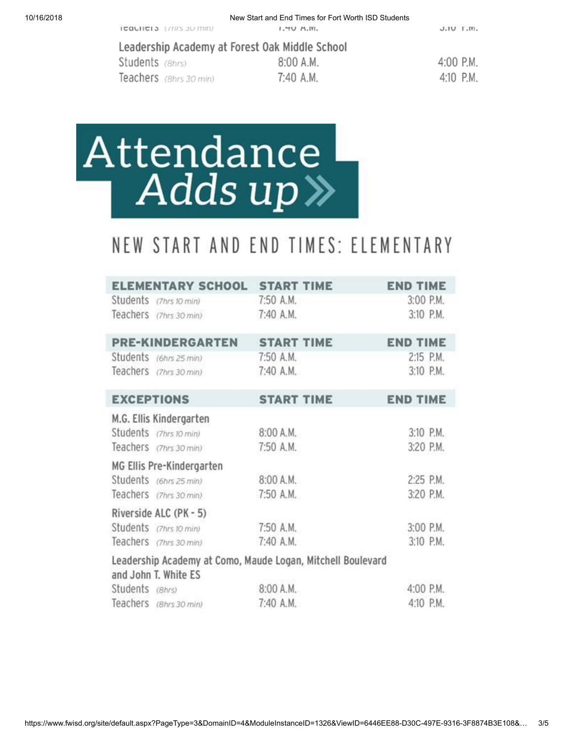#### Leadership Academy at Forest Oak Middle School

Students (Bhrs) Teachers (8hrs 30 min)

8:00 A.M. 7:40 A.M.

| 4:00 P.M. |  |
|-----------|--|
| 4:10 P.M. |  |

# Attendance Adds up »

### NEW START AND END TIMES: ELEMENTARY

|                   | ELEMENTARY SCHOOL START TIME                                                        |                   | <b>END TIME</b> |  |
|-------------------|-------------------------------------------------------------------------------------|-------------------|-----------------|--|
|                   | Students (7hrs 10 min) 7:50 A.M.                                                    |                   | 3:00 P.M.       |  |
|                   | Teachers (7hrs 30 min)                                                              | 7:40 A.M.         | 3:10 P.M.       |  |
|                   | <b>PRE-KINDERGARTEN</b>                                                             | <b>START TIME</b> | <b>END TIME</b> |  |
|                   | Students (6hrs 25 min)                                                              | 7:50 A.M.         | 2:15 P.M.       |  |
|                   | Teachers (7hrs 30 min)                                                              | 7:40 A.M.         | 3:10 P.M.       |  |
| <b>EXCEPTIONS</b> |                                                                                     | <b>START TIME</b> | <b>END TIME</b> |  |
|                   | M.G. Ellis Kindergarten                                                             |                   |                 |  |
|                   | Students (7hrs 10 min)                                                              | 8:00 A.M.         | 3:10 P.M.       |  |
|                   | Teachers (7hrs 30 min)                                                              | 7:50 A.M.         | 3:20 P.M.       |  |
|                   | MG Ellis Pre-Kindergarten                                                           |                   |                 |  |
|                   | Students (6hrs 25 min)                                                              | 8:00 A.M.         | 2:25 P.M.       |  |
|                   | Teachers (7hrs 30 min)                                                              | 7:50 A.M.         | 3:20 P.M.       |  |
|                   | Riverside ALC (PK - 5)                                                              |                   |                 |  |
|                   | Students (7hrs 10 min)                                                              | 7:50 A.M.         | 3:00 P.M.       |  |
|                   | Teachers (7hrs 30 min)                                                              | 7:40 A.M.         | 3:10 P.M.       |  |
|                   | Leadership Academy at Como, Maude Logan, Mitchell Boulevard<br>and John T. White ES |                   |                 |  |
| Students (8hrs)   |                                                                                     | 8:00 A.M.         | 4:00 P.M.       |  |
|                   | Teachers (8hrs 30 min)                                                              | 7:40 A.M.         | 4:10 P.M.       |  |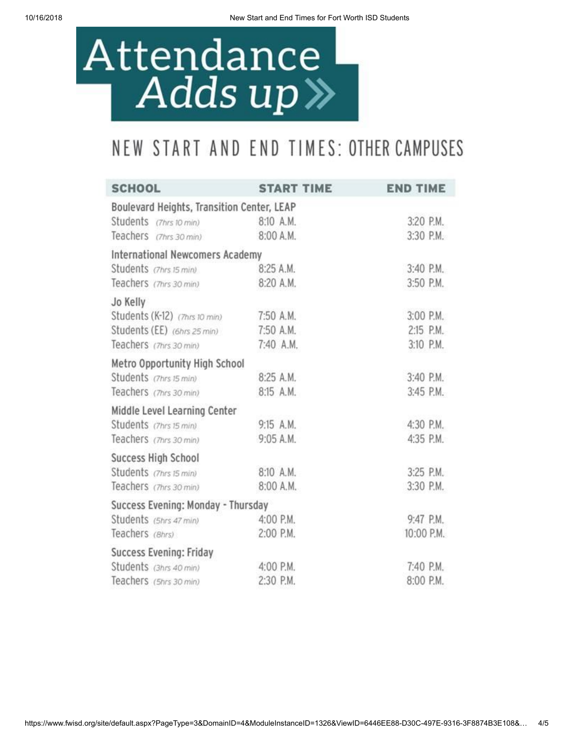## Attendance Adds up »

## NEW START AND END TIMES: OTHER CAMPUSES

| <b>SCHOOL</b>                              | <b>START TIME</b> | <b>END TIME</b> |
|--------------------------------------------|-------------------|-----------------|
| Boulevard Heights, Transition Center, LEAP |                   |                 |
| Students (7hrs 10 min)                     | 8:10 A.M.         | 3:20 P.M.       |
| Teachers (7hrs 30 min)                     | 8:00 A.M.         | 3:30 P.M.       |
| International Newcomers Academy            |                   |                 |
| Students (7hrs 15 min)                     | 8:25 A.M.         | 3:40 P.M.       |
| Teachers (7hrs 30 min)                     | 8:20 A.M.         | 3:50 P.M.       |
| Jo Kelly                                   |                   |                 |
| Students (K-12) (7hrs 10 min)              | 7:50 A.M.         | 3:00 P.M.       |
| Students (EE) (6hrs 25 min)                | 7:50 A.M.         | 2:15 P.M.       |
| Teachers (7hrs 30 min)                     | 7:40 A.M.         | 3:10 P.M.       |
| Metro Opportunity High School              |                   |                 |
| Students (7hrs 15 min)                     | 8:25 A.M.         | 3:40 P.M.       |
| Teachers (7hrs 30 min)                     | 8:15 A.M.         | 3:45 P.M.       |
| Middle Level Learning Center               |                   |                 |
| Students (7hrs 15 min)                     | 9:15 A.M.         | 4:30 P.M.       |
| Teachers (7hrs 30 min)                     | 9:05 A.M.         | 4:35 P.M.       |
| Success High School                        |                   |                 |
| Students (7hrs 15 min)                     | 8:10 A.M.         | 3:25 P.M.       |
| Teachers (7hrs 30 min)                     | 8:00 A.M.         | 3:30 P.M.       |
| Success Evening: Monday - Thursday         |                   |                 |
| Students (5hrs 47 min)                     | 4:00 P.M.         | 9:47 P.M.       |
| Teachers (Bhrs)                            | 2:00 P.M.         | 10:00 P.M.      |
| Success Evening: Friday                    |                   |                 |
| Students (3hrs 40 min)                     | 4:00 P.M.         | 7:40 P.M.       |
| Teachers (5hrs 30 min)                     | 2:30 P.M.         | 8:00 P.M.       |